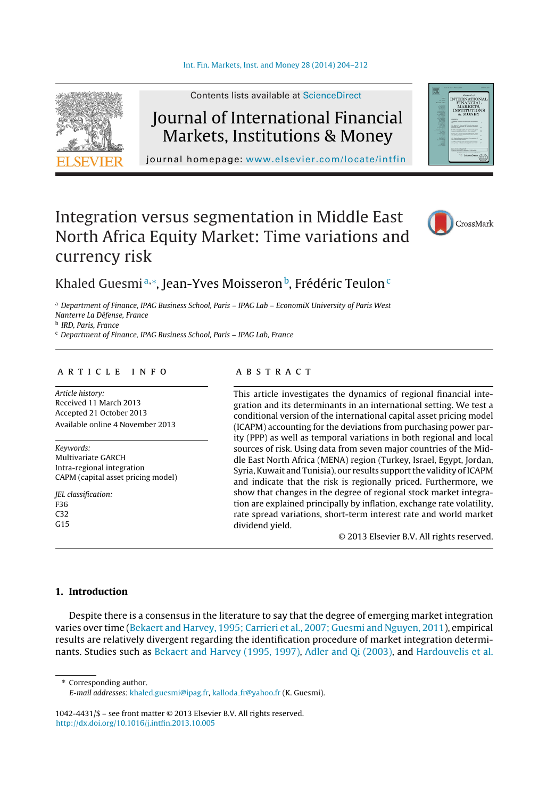

Contents lists available at [ScienceDirect](http://www.sciencedirect.com/science/journal/10424431)

# Journal of International Financial Markets, Institutions & Money

journal homepage: [www.elsevier.com/locate/intfin](http://www.elsevier.com/locate/intfin)

# Integration versus segmentation in Middle East North Africa Equity Market: Time variations and currency risk



## Khaled Guesmiª,\*, Jean-Yves Moisseron<sup>b</sup>, Frédéric Teulon<sup>c</sup>

<sup>a</sup> Department of Finance, IPAG Business School, Paris – IPAG Lab – EconomiX University of Paris West Nanterre La Défense, France

<sup>b</sup> IRD, Paris, France

<sup>c</sup> Department of Finance, IPAG Business School, Paris – IPAG Lab, France

## a r t i c l e i n f o

Article history: Received 11 March 2013 Accepted 21 October 2013 Available online 4 November 2013

Keywords: Multivariate GARCH Intra-regional integration CAPM (capital asset pricing model)

JEL classification: F36 C32  $G15$ 

## a b s t r a c t

This article investigates the dynamics of regional financial integration and its determinants in an international setting. We test a conditional version of the international capital asset pricing model (ICAPM) accounting for the deviations from purchasing power parity (PPP) as well as temporal variations in both regional and local sources of risk. Using data from seven major countries of the Middle East North Africa (MENA) region (Turkey, Israel, Egypt, Jordan, Syria, Kuwait and Tunisia), our results support the validity of ICAPM and indicate that the risk is regionally priced. Furthermore, we show that changes in the degree of regional stock market integration are explained principally by inflation, exchange rate volatility, rate spread variations, short-term interest rate and world market dividend yield.

© 2013 Elsevier B.V. All rights reserved.

### **1. Introduction**

Despite there is a consensus in the literature to say that the degree of emerging market integration varies over time ([Bekaert](#page--1-0) [and](#page--1-0) [Harvey,](#page--1-0) [1995;](#page--1-0) [Carrieri](#page--1-0) et [al.,](#page--1-0) [2007;](#page--1-0) [Guesmi](#page--1-0) [and](#page--1-0) [Nguyen,](#page--1-0) [2011\),](#page--1-0) empirical results are relatively divergent regarding the identification procedure of market integration determinants. Studies such as [Bekaert](#page--1-0) [and](#page--1-0) [Harvey](#page--1-0) [\(1995,](#page--1-0) [1997\),](#page--1-0) [Adler](#page--1-0) [and](#page--1-0) [Qi](#page--1-0) [\(2003\),](#page--1-0) and [Hardouvelis](#page--1-0) et [al.](#page--1-0)

∗ Corresponding author.

1042-4431/\$ – see front matter © 2013 Elsevier B.V. All rights reserved. [http://dx.doi.org/10.1016/j.intfin.2013.10.005](dx.doi.org/10.1016/j.intfin.2013.10.005)

E-mail addresses: [khaled.guesmi@ipag.fr,](mailto:khaled.guesmi@ipag.fr) kalloda\_[fr@yahoo.fr](mailto:kalloda_fr@yahoo.fr) (K. Guesmi).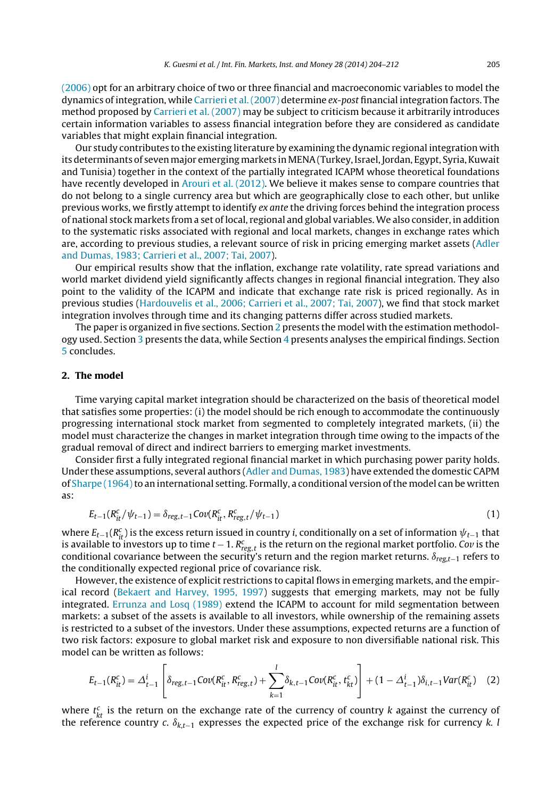[\(2006\)](#page--1-0) opt for an arbitrary choice of two or three financial and macroeconomic variables to model the dynamics of integration, while [Carrieri](#page--1-0) et [al.\(2007\)](#page--1-0) determine ex-post financial integration factors. The method proposed by [Carrieri](#page--1-0) et [al.](#page--1-0) [\(2007\)](#page--1-0) may be subject to criticism because it arbitrarily introduces certain information variables to assess financial integration before they are considered as candidate variables that might explain financial integration.

Our study contributes to the existing literature by examining the dynamic regional integration with its determinants of seven major emerging markets in MENA (Turkey, Israel, Jordan, Egypt, Syria, Kuwait and Tunisia) together in the context of the partially integrated ICAPM whose theoretical foundations have recently developed in [Arouri](#page--1-0) et [al.](#page--1-0) [\(2012\).](#page--1-0) We believe it makes sense to compare countries that do not belong to a single currency area but which are geographically close to each other, but unlike previous works, we firstly attempt to identify ex ante the driving forces behind the integration process of national stock markets from a set of local, regional and global variables.We also consider, in addition to the systematic risks associated with regional and local markets, changes in exchange rates which are, according to previous studies, a relevant source of risk in pricing emerging market assets [\(Adler](#page--1-0) [and](#page--1-0) [Dumas,](#page--1-0) [1983;](#page--1-0) [Carrieri](#page--1-0) et [al.,](#page--1-0) [2007;](#page--1-0) [Tai,](#page--1-0) [2007\).](#page--1-0)

Our empirical results show that the inflation, exchange rate volatility, rate spread variations and world market dividend yield significantly affects changes in regional financial integration. They also point to the validity of the ICAPM and indicate that exchange rate risk is priced regionally. As in previous studies [\(Hardouvelis](#page--1-0) et [al.,](#page--1-0) [2006;](#page--1-0) [Carrieri](#page--1-0) et [al.,](#page--1-0) [2007;](#page--1-0) [Tai,](#page--1-0) [2007\),](#page--1-0) we find that stock market integration involves through time and its changing patterns differ across studied markets.

The paper is organized in five sections. Section 2 presents the model with the estimation methodology used. Section [3](#page--1-0) presents the data, while Section [4](#page--1-0) presents analyses the empirical findings. Section [5](#page--1-0) concludes.

#### **2. The model**

Time varying capital market integration should be characterized on the basis of theoretical model that satisfies some properties: (i) the model should be rich enough to accommodate the continuously progressing international stock market from segmented to completely integrated markets, (ii) the model must characterize the changes in market integration through time owing to the impacts of the gradual removal of direct and indirect barriers to emerging market investments.

Consider first a fully integrated regional financial market in which purchasing power parity holds. Under these assumptions, several authors [\(Adler](#page--1-0) [and](#page--1-0) [Dumas,](#page--1-0) [1983\)](#page--1-0) have extended the domestic CAPM of [Sharpe](#page--1-0) (1964) to an international setting. Formally, a conditional version of the model can be written as:

$$
E_{t-1}(R_{it}^c/\psi_{t-1}) = \delta_{reg,t-1}Cov(R_{it}^c, R_{reg,t}^c/\psi_{t-1})
$$
\n(1)

where  $E_{t-1}(R_{it}^c)$  is the excess return issued in country i, conditionally on a set of information  $\psi_{t-1}$  that is available to investors up to time  $t$  – 1.  $R^c_{reg,t}$  is the return on the regional market portfolio. Co $v$  is the conditional covariance between the security's return and the region market returns.  $\delta_{reg,t-1}$  refers to the conditionally expected regional price of covariance risk.

However, the existence of explicit restrictions to capital flows in emerging markets, and the empirical record ([Bekaert](#page--1-0) [and](#page--1-0) [Harvey,](#page--1-0) [1995,](#page--1-0) [1997\)](#page--1-0) suggests that emerging markets, may not be fully integrated. [Errunza](#page--1-0) [and](#page--1-0) [Losq](#page--1-0) [\(1989\)](#page--1-0) extend the ICAPM to account for mild segmentation between markets: a subset of the assets is available to all investors, while ownership of the remaining assets is restricted to a subset of the investors. Under these assumptions, expected returns are a function of two risk factors: exposure to global market risk and exposure to non diversifiable national risk. This model can be written as follows:

$$
E_{t-1}(R_{it}^c) = \Delta_{t-1}^i \left[ \delta_{reg,t-1} \text{Cov}(R_{it}^c, R_{reg,t}^c) + \sum_{k=1}^l \delta_{k,t-1} \text{Cov}(R_{it}^c, t_{kt}^c) \right] + (1 - \Delta_{t-1}^i) \delta_{i,t-1} \text{Var}(R_{it}^c) \tag{2}
$$

where  $t_{kt}^c$  is the return on the exchange rate of the currency of country k against the currency of the reference country  $c. \ \delta_{k,t-1}$  expresses the expected price of the exchange risk for currency  $k.$  l